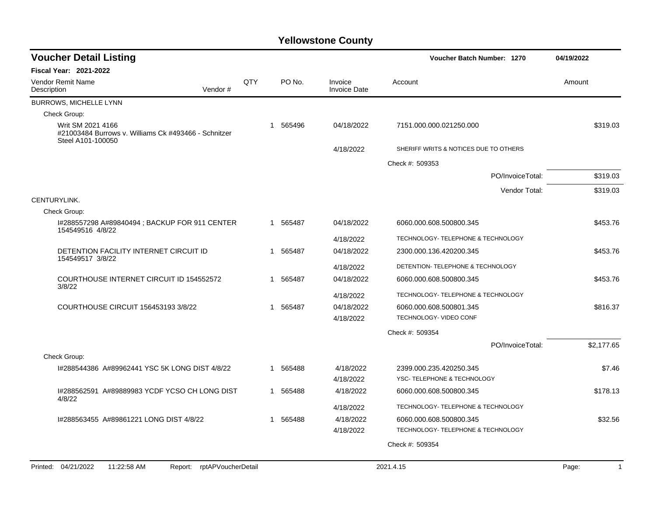| <b>Fiscal Year: 2021-2022</b><br>QTY<br>PO No.<br><b>Vendor Remit Name</b><br>Invoice<br>Account<br>Amount<br>Description<br>Vendor#<br><b>Invoice Date</b><br><b>BURROWS, MICHELLE LYNN</b><br>Check Group:<br>Writ SM 2021 4166<br>565496<br>\$319.03<br>04/18/2022<br>7151.000.000.021250.000<br>1<br>#21003484 Burrows v. Williams Ck #493466 - Schnitzer<br>Steel A101-100050<br>SHERIFF WRITS & NOTICES DUE TO OTHERS<br>4/18/2022<br>Check #: 509353<br>\$319.03<br>PO/InvoiceTotal:<br>\$319.03<br>Vendor Total:<br>CENTURYLINK.<br>Check Group:<br>I#288557298 A#89840494 ; BACKUP FOR 911 CENTER<br>565487<br>04/18/2022<br>6060.000.608.500800.345<br>\$453.76<br>-1<br>154549516 4/8/22<br>TECHNOLOGY- TELEPHONE & TECHNOLOGY<br>4/18/2022<br>DETENTION FACILITY INTERNET CIRCUIT ID<br>565487<br>04/18/2022<br>\$453.76<br>1<br>2300.000.136.420200.345<br>154549517 3/8/22<br>4/18/2022<br>DETENTION- TELEPHONE & TECHNOLOGY<br>COURTHOUSE INTERNET CIRCUIT ID 154552572<br>565487<br>\$453.76<br>04/18/2022<br>6060.000.608.500800.345<br>1<br>3/8/22<br>TECHNOLOGY- TELEPHONE & TECHNOLOGY<br>4/18/2022<br>COURTHOUSE CIRCUIT 156453193 3/8/22<br>565487<br>04/18/2022<br>\$816.37<br>6060.000.608.500801.345<br>1<br>TECHNOLOGY- VIDEO CONF<br>4/18/2022<br>Check #: 509354<br>\$2,177.65<br>PO/InvoiceTotal:<br>Check Group:<br>I#288544386 A#89962441 YSC 5K LONG DIST 4/8/22<br>565488<br>4/18/2022<br>\$7.46<br>2399.000.235.420250.345<br>1 |
|-------------------------------------------------------------------------------------------------------------------------------------------------------------------------------------------------------------------------------------------------------------------------------------------------------------------------------------------------------------------------------------------------------------------------------------------------------------------------------------------------------------------------------------------------------------------------------------------------------------------------------------------------------------------------------------------------------------------------------------------------------------------------------------------------------------------------------------------------------------------------------------------------------------------------------------------------------------------------------------------------------------------------------------------------------------------------------------------------------------------------------------------------------------------------------------------------------------------------------------------------------------------------------------------------------------------------------------------------------------------------------------------------------------------------------------------------------------------|
|                                                                                                                                                                                                                                                                                                                                                                                                                                                                                                                                                                                                                                                                                                                                                                                                                                                                                                                                                                                                                                                                                                                                                                                                                                                                                                                                                                                                                                                                   |
|                                                                                                                                                                                                                                                                                                                                                                                                                                                                                                                                                                                                                                                                                                                                                                                                                                                                                                                                                                                                                                                                                                                                                                                                                                                                                                                                                                                                                                                                   |
|                                                                                                                                                                                                                                                                                                                                                                                                                                                                                                                                                                                                                                                                                                                                                                                                                                                                                                                                                                                                                                                                                                                                                                                                                                                                                                                                                                                                                                                                   |
|                                                                                                                                                                                                                                                                                                                                                                                                                                                                                                                                                                                                                                                                                                                                                                                                                                                                                                                                                                                                                                                                                                                                                                                                                                                                                                                                                                                                                                                                   |
|                                                                                                                                                                                                                                                                                                                                                                                                                                                                                                                                                                                                                                                                                                                                                                                                                                                                                                                                                                                                                                                                                                                                                                                                                                                                                                                                                                                                                                                                   |
|                                                                                                                                                                                                                                                                                                                                                                                                                                                                                                                                                                                                                                                                                                                                                                                                                                                                                                                                                                                                                                                                                                                                                                                                                                                                                                                                                                                                                                                                   |
|                                                                                                                                                                                                                                                                                                                                                                                                                                                                                                                                                                                                                                                                                                                                                                                                                                                                                                                                                                                                                                                                                                                                                                                                                                                                                                                                                                                                                                                                   |
|                                                                                                                                                                                                                                                                                                                                                                                                                                                                                                                                                                                                                                                                                                                                                                                                                                                                                                                                                                                                                                                                                                                                                                                                                                                                                                                                                                                                                                                                   |
|                                                                                                                                                                                                                                                                                                                                                                                                                                                                                                                                                                                                                                                                                                                                                                                                                                                                                                                                                                                                                                                                                                                                                                                                                                                                                                                                                                                                                                                                   |
|                                                                                                                                                                                                                                                                                                                                                                                                                                                                                                                                                                                                                                                                                                                                                                                                                                                                                                                                                                                                                                                                                                                                                                                                                                                                                                                                                                                                                                                                   |
|                                                                                                                                                                                                                                                                                                                                                                                                                                                                                                                                                                                                                                                                                                                                                                                                                                                                                                                                                                                                                                                                                                                                                                                                                                                                                                                                                                                                                                                                   |
|                                                                                                                                                                                                                                                                                                                                                                                                                                                                                                                                                                                                                                                                                                                                                                                                                                                                                                                                                                                                                                                                                                                                                                                                                                                                                                                                                                                                                                                                   |
|                                                                                                                                                                                                                                                                                                                                                                                                                                                                                                                                                                                                                                                                                                                                                                                                                                                                                                                                                                                                                                                                                                                                                                                                                                                                                                                                                                                                                                                                   |
|                                                                                                                                                                                                                                                                                                                                                                                                                                                                                                                                                                                                                                                                                                                                                                                                                                                                                                                                                                                                                                                                                                                                                                                                                                                                                                                                                                                                                                                                   |
|                                                                                                                                                                                                                                                                                                                                                                                                                                                                                                                                                                                                                                                                                                                                                                                                                                                                                                                                                                                                                                                                                                                                                                                                                                                                                                                                                                                                                                                                   |
|                                                                                                                                                                                                                                                                                                                                                                                                                                                                                                                                                                                                                                                                                                                                                                                                                                                                                                                                                                                                                                                                                                                                                                                                                                                                                                                                                                                                                                                                   |
|                                                                                                                                                                                                                                                                                                                                                                                                                                                                                                                                                                                                                                                                                                                                                                                                                                                                                                                                                                                                                                                                                                                                                                                                                                                                                                                                                                                                                                                                   |
|                                                                                                                                                                                                                                                                                                                                                                                                                                                                                                                                                                                                                                                                                                                                                                                                                                                                                                                                                                                                                                                                                                                                                                                                                                                                                                                                                                                                                                                                   |
|                                                                                                                                                                                                                                                                                                                                                                                                                                                                                                                                                                                                                                                                                                                                                                                                                                                                                                                                                                                                                                                                                                                                                                                                                                                                                                                                                                                                                                                                   |
|                                                                                                                                                                                                                                                                                                                                                                                                                                                                                                                                                                                                                                                                                                                                                                                                                                                                                                                                                                                                                                                                                                                                                                                                                                                                                                                                                                                                                                                                   |
|                                                                                                                                                                                                                                                                                                                                                                                                                                                                                                                                                                                                                                                                                                                                                                                                                                                                                                                                                                                                                                                                                                                                                                                                                                                                                                                                                                                                                                                                   |
|                                                                                                                                                                                                                                                                                                                                                                                                                                                                                                                                                                                                                                                                                                                                                                                                                                                                                                                                                                                                                                                                                                                                                                                                                                                                                                                                                                                                                                                                   |
|                                                                                                                                                                                                                                                                                                                                                                                                                                                                                                                                                                                                                                                                                                                                                                                                                                                                                                                                                                                                                                                                                                                                                                                                                                                                                                                                                                                                                                                                   |
| YSC- TELEPHONE & TECHNOLOGY<br>4/18/2022                                                                                                                                                                                                                                                                                                                                                                                                                                                                                                                                                                                                                                                                                                                                                                                                                                                                                                                                                                                                                                                                                                                                                                                                                                                                                                                                                                                                                          |
| 1#288562591 A#89889983 YCDF YCSO CH LONG DIST<br>4/18/2022<br>\$178.13<br>565488<br>6060.000.608.500800.345<br>1<br>4/8/22                                                                                                                                                                                                                                                                                                                                                                                                                                                                                                                                                                                                                                                                                                                                                                                                                                                                                                                                                                                                                                                                                                                                                                                                                                                                                                                                        |
| TECHNOLOGY- TELEPHONE & TECHNOLOGY<br>4/18/2022                                                                                                                                                                                                                                                                                                                                                                                                                                                                                                                                                                                                                                                                                                                                                                                                                                                                                                                                                                                                                                                                                                                                                                                                                                                                                                                                                                                                                   |
| I#288563455 A#89861221 LONG DIST 4/8/22<br>565488<br>4/18/2022<br>\$32.56<br>6060.000.608.500800.345<br>1                                                                                                                                                                                                                                                                                                                                                                                                                                                                                                                                                                                                                                                                                                                                                                                                                                                                                                                                                                                                                                                                                                                                                                                                                                                                                                                                                         |
| TECHNOLOGY- TELEPHONE & TECHNOLOGY<br>4/18/2022                                                                                                                                                                                                                                                                                                                                                                                                                                                                                                                                                                                                                                                                                                                                                                                                                                                                                                                                                                                                                                                                                                                                                                                                                                                                                                                                                                                                                   |
| Check #: 509354                                                                                                                                                                                                                                                                                                                                                                                                                                                                                                                                                                                                                                                                                                                                                                                                                                                                                                                                                                                                                                                                                                                                                                                                                                                                                                                                                                                                                                                   |
| Printed: 04/21/2022<br>rptAPVoucherDetail<br>11:22:58 AM<br>2021.4.15<br>$\overline{1}$<br>Report:<br>Page:                                                                                                                                                                                                                                                                                                                                                                                                                                                                                                                                                                                                                                                                                                                                                                                                                                                                                                                                                                                                                                                                                                                                                                                                                                                                                                                                                       |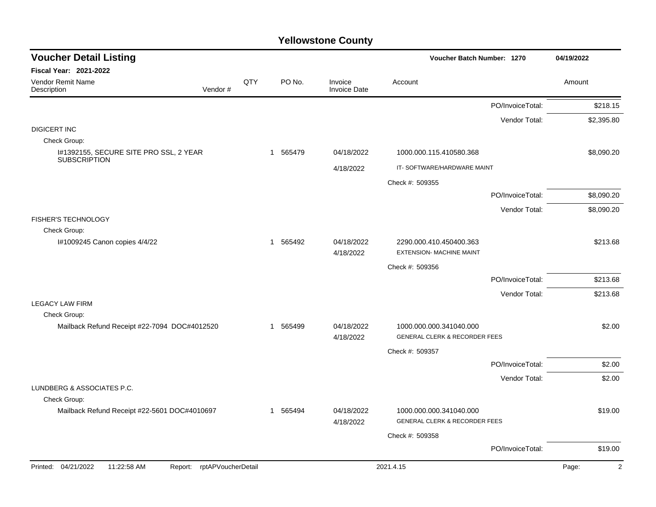| <b>Voucher Detail Listing</b>                                       |     |                        |                                | Voucher Batch Number: 1270                                          |                  | 04/19/2022              |
|---------------------------------------------------------------------|-----|------------------------|--------------------------------|---------------------------------------------------------------------|------------------|-------------------------|
| <b>Fiscal Year: 2021-2022</b>                                       |     |                        |                                |                                                                     |                  |                         |
| Vendor Remit Name<br>Description<br>Vendor#                         | QTY | PO No.                 | Invoice<br><b>Invoice Date</b> | Account                                                             |                  | Amount                  |
|                                                                     |     |                        |                                |                                                                     | PO/InvoiceTotal: | \$218.15                |
|                                                                     |     |                        |                                |                                                                     | Vendor Total:    | \$2,395.80              |
| <b>DIGICERT INC</b>                                                 |     |                        |                                |                                                                     |                  |                         |
| Check Group:<br>I#1392155, SECURE SITE PRO SSL, 2 YEAR              |     | 1 565479               | 04/18/2022                     | 1000.000.115.410580.368                                             |                  | \$8,090.20              |
| <b>SUBSCRIPTION</b>                                                 |     |                        |                                |                                                                     |                  |                         |
|                                                                     |     |                        | 4/18/2022                      | IT-SOFTWARE/HARDWARE MAINT                                          |                  |                         |
|                                                                     |     |                        |                                | Check #: 509355                                                     |                  |                         |
|                                                                     |     |                        |                                |                                                                     | PO/InvoiceTotal: | \$8,090.20              |
| <b>FISHER'S TECHNOLOGY</b>                                          |     |                        |                                |                                                                     | Vendor Total:    | \$8,090.20              |
| Check Group:                                                        |     |                        |                                |                                                                     |                  |                         |
| I#1009245 Canon copies 4/4/22                                       |     | 1 565492               | 04/18/2022<br>4/18/2022        | 2290.000.410.450400.363<br><b>EXTENSION- MACHINE MAINT</b>          |                  | \$213.68                |
|                                                                     |     |                        |                                | Check #: 509356                                                     |                  |                         |
|                                                                     |     |                        |                                |                                                                     | PO/InvoiceTotal: | \$213.68                |
|                                                                     |     |                        |                                |                                                                     | Vendor Total:    | \$213.68                |
| <b>LEGACY LAW FIRM</b>                                              |     |                        |                                |                                                                     |                  |                         |
| Check Group:                                                        |     |                        |                                |                                                                     |                  |                         |
| Mailback Refund Receipt #22-7094 DOC#4012520                        |     | 1 565499               | 04/18/2022<br>4/18/2022        | 1000.000.000.341040.000<br><b>GENERAL CLERK &amp; RECORDER FEES</b> |                  | \$2.00                  |
|                                                                     |     |                        |                                | Check #: 509357                                                     |                  |                         |
|                                                                     |     |                        |                                |                                                                     | PO/InvoiceTotal: | \$2.00                  |
|                                                                     |     |                        |                                |                                                                     | Vendor Total:    | \$2.00                  |
| LUNDBERG & ASSOCIATES P.C.                                          |     |                        |                                |                                                                     |                  |                         |
| Check Group:                                                        |     |                        |                                |                                                                     |                  |                         |
| Mailback Refund Receipt #22-5601 DOC#4010697                        |     | 565494<br>$\mathbf{1}$ | 04/18/2022<br>4/18/2022        | 1000.000.000.341040.000<br><b>GENERAL CLERK &amp; RECORDER FEES</b> |                  | \$19.00                 |
|                                                                     |     |                        |                                | Check #: 509358                                                     |                  |                         |
|                                                                     |     |                        |                                |                                                                     | PO/InvoiceTotal: | \$19.00                 |
| Printed: 04/21/2022<br>11:22:58 AM<br>rptAPVoucherDetail<br>Report: |     |                        |                                | 2021.4.15                                                           |                  | Page:<br>$\overline{2}$ |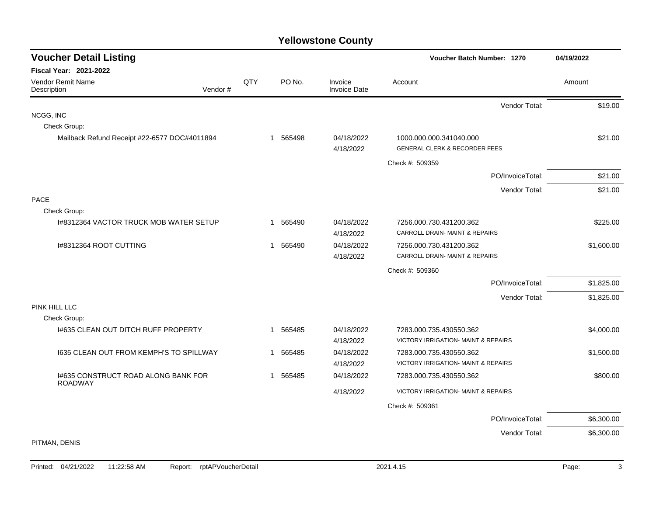| <b>Voucher Detail Listing</b>                         |         |     |             |                                | Voucher Batch Number: 1270               |                  | 04/19/2022 |
|-------------------------------------------------------|---------|-----|-------------|--------------------------------|------------------------------------------|------------------|------------|
| <b>Fiscal Year: 2021-2022</b>                         |         |     |             |                                |                                          |                  |            |
| Vendor Remit Name<br>Description                      | Vendor# | QTY | PO No.      | Invoice<br><b>Invoice Date</b> | Account                                  |                  | Amount     |
|                                                       |         |     |             |                                |                                          | Vendor Total:    | \$19.00    |
| NCGG, INC                                             |         |     |             |                                |                                          |                  |            |
| Check Group:                                          |         |     |             |                                |                                          |                  |            |
| Mailback Refund Receipt #22-6577 DOC#4011894          |         |     | 1 565498    | 04/18/2022                     | 1000.000.000.341040.000                  |                  | \$21.00    |
|                                                       |         |     |             | 4/18/2022                      | <b>GENERAL CLERK &amp; RECORDER FEES</b> |                  |            |
|                                                       |         |     |             |                                | Check #: 509359                          |                  |            |
|                                                       |         |     |             |                                |                                          | PO/InvoiceTotal: | \$21.00    |
|                                                       |         |     |             |                                |                                          | Vendor Total:    | \$21.00    |
| <b>PACE</b>                                           |         |     |             |                                |                                          |                  |            |
| Check Group:                                          |         |     |             |                                |                                          |                  |            |
| 1#8312364 VACTOR TRUCK MOB WATER SETUP                |         |     | 565490<br>1 | 04/18/2022                     | 7256.000.730.431200.362                  |                  | \$225.00   |
|                                                       |         |     |             | 4/18/2022                      | CARROLL DRAIN- MAINT & REPAIRS           |                  |            |
| I#8312364 ROOT CUTTING                                |         |     | 565490<br>1 | 04/18/2022                     | 7256.000.730.431200.362                  |                  | \$1,600.00 |
|                                                       |         |     |             | 4/18/2022                      | CARROLL DRAIN- MAINT & REPAIRS           |                  |            |
|                                                       |         |     |             |                                | Check #: 509360                          |                  |            |
|                                                       |         |     |             |                                |                                          | PO/InvoiceTotal: | \$1,825.00 |
|                                                       |         |     |             |                                |                                          | Vendor Total:    | \$1,825.00 |
| PINK HILL LLC                                         |         |     |             |                                |                                          |                  |            |
| Check Group:                                          |         |     |             |                                |                                          |                  |            |
| 1#635 CLEAN OUT DITCH RUFF PROPERTY                   |         |     | 565485<br>1 | 04/18/2022                     | 7283.000.735.430550.362                  |                  | \$4,000.00 |
|                                                       |         |     |             | 4/18/2022                      | VICTORY IRRIGATION- MAINT & REPAIRS      |                  |            |
| 1635 CLEAN OUT FROM KEMPH'S TO SPILLWAY               |         |     | 565485<br>1 | 04/18/2022                     | 7283.000.735.430550.362                  |                  | \$1,500.00 |
|                                                       |         |     |             | 4/18/2022                      | VICTORY IRRIGATION- MAINT & REPAIRS      |                  |            |
| 1#635 CONSTRUCT ROAD ALONG BANK FOR<br><b>ROADWAY</b> |         |     | 565485<br>1 | 04/18/2022                     | 7283.000.735.430550.362                  |                  | \$800.00   |
|                                                       |         |     |             | 4/18/2022                      | VICTORY IRRIGATION- MAINT & REPAIRS      |                  |            |
|                                                       |         |     |             |                                | Check #: 509361                          |                  |            |
|                                                       |         |     |             |                                |                                          | PO/InvoiceTotal: | \$6,300.00 |
|                                                       |         |     |             |                                |                                          | Vendor Total:    | \$6,300.00 |
| PITMAN, DENIS                                         |         |     |             |                                |                                          |                  |            |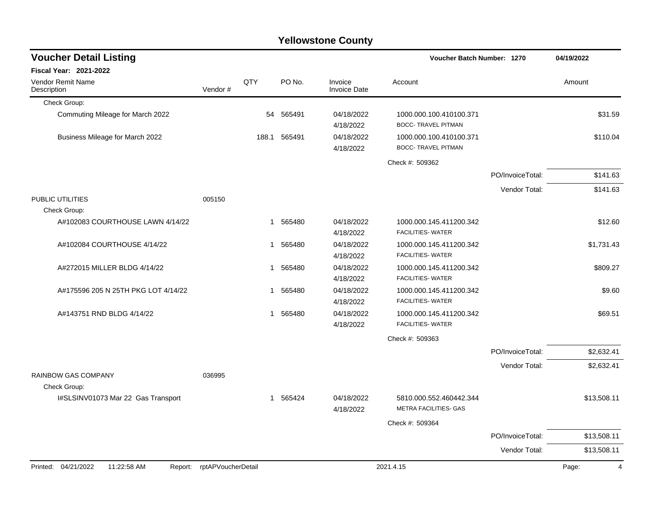| <b>Voucher Detail Listing</b>                 |                    |              |              |                                | Voucher Batch Number: 1270                            |                  | 04/19/2022  |
|-----------------------------------------------|--------------------|--------------|--------------|--------------------------------|-------------------------------------------------------|------------------|-------------|
| <b>Fiscal Year: 2021-2022</b>                 |                    |              |              |                                |                                                       |                  |             |
| Vendor Remit Name<br>Description              | Vendor#            | QTY          | PO No.       | Invoice<br><b>Invoice Date</b> | Account                                               |                  | Amount      |
| Check Group:                                  |                    |              |              |                                |                                                       |                  |             |
| Commuting Mileage for March 2022              |                    | 54           | 565491       | 04/18/2022<br>4/18/2022        | 1000.000.100.410100.371<br><b>BOCC- TRAVEL PITMAN</b> |                  | \$31.59     |
| Business Mileage for March 2022               |                    |              | 188.1 565491 | 04/18/2022<br>4/18/2022        | 1000.000.100.410100.371<br><b>BOCC- TRAVEL PITMAN</b> |                  | \$110.04    |
|                                               |                    |              |              |                                | Check #: 509362                                       |                  |             |
|                                               |                    |              |              |                                |                                                       | PO/InvoiceTotal: | \$141.63    |
|                                               |                    |              |              |                                |                                                       | Vendor Total:    | \$141.63    |
| PUBLIC UTILITIES<br>Check Group:              | 005150             |              |              |                                |                                                       |                  |             |
| A#102083 COURTHOUSE LAWN 4/14/22              |                    | $\mathbf{1}$ | 565480       | 04/18/2022<br>4/18/2022        | 1000.000.145.411200.342<br><b>FACILITIES- WATER</b>   |                  | \$12.60     |
| A#102084 COURTHOUSE 4/14/22                   |                    | 1            | 565480       | 04/18/2022<br>4/18/2022        | 1000.000.145.411200.342<br><b>FACILITIES- WATER</b>   |                  | \$1,731.43  |
| A#272015 MILLER BLDG 4/14/22                  |                    | 1            | 565480       | 04/18/2022<br>4/18/2022        | 1000.000.145.411200.342<br><b>FACILITIES- WATER</b>   |                  | \$809.27    |
| A#175596 205 N 25TH PKG LOT 4/14/22           |                    | $\mathbf 1$  | 565480       | 04/18/2022<br>4/18/2022        | 1000.000.145.411200.342<br><b>FACILITIES- WATER</b>   |                  | \$9.60      |
| A#143751 RND BLDG 4/14/22                     |                    | $\mathbf{1}$ | 565480       | 04/18/2022<br>4/18/2022        | 1000.000.145.411200.342<br><b>FACILITIES- WATER</b>   |                  | \$69.51     |
|                                               |                    |              |              |                                | Check #: 509363                                       |                  |             |
|                                               |                    |              |              |                                |                                                       | PO/InvoiceTotal: | \$2,632.41  |
|                                               |                    |              |              |                                |                                                       | Vendor Total:    | \$2,632.41  |
| <b>RAINBOW GAS COMPANY</b><br>Check Group:    | 036995             |              |              |                                |                                                       |                  |             |
| I#SLSINV01073 Mar 22 Gas Transport            |                    | 1            | 565424       | 04/18/2022<br>4/18/2022        | 5810.000.552.460442.344<br>METRA FACILITIES- GAS      |                  | \$13,508.11 |
|                                               |                    |              |              |                                | Check #: 509364                                       |                  |             |
|                                               |                    |              |              |                                |                                                       | PO/InvoiceTotal: | \$13,508.11 |
|                                               |                    |              |              |                                |                                                       | Vendor Total:    | \$13,508.11 |
| Printed: 04/21/2022<br>11:22:58 AM<br>Report: | rptAPVoucherDetail |              |              |                                | 2021.4.15                                             |                  | Page:<br>4  |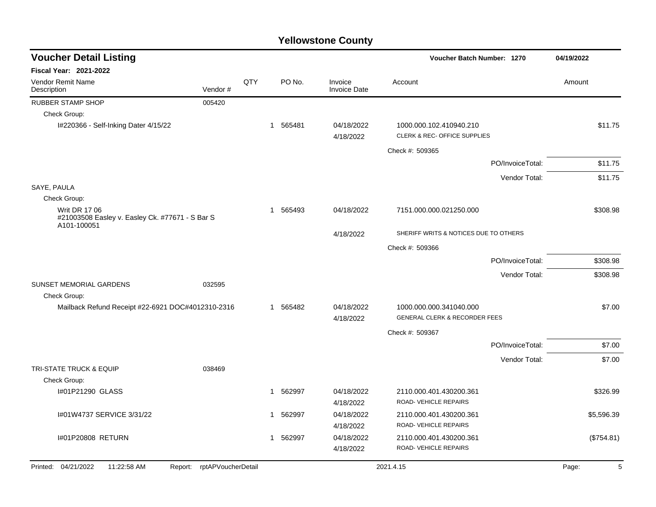| <b>Voucher Detail Listing</b>                                                          |                            |     |              |          |                                | <b>Voucher Batch Number: 1270</b>                       |                  | 04/19/2022 |
|----------------------------------------------------------------------------------------|----------------------------|-----|--------------|----------|--------------------------------|---------------------------------------------------------|------------------|------------|
| <b>Fiscal Year: 2021-2022</b>                                                          |                            |     |              |          |                                |                                                         |                  |            |
| <b>Vendor Remit Name</b><br>Description                                                | Vendor#                    | QTY |              | PO No.   | Invoice<br><b>Invoice Date</b> | Account                                                 |                  | Amount     |
| <b>RUBBER STAMP SHOP</b>                                                               | 005420                     |     |              |          |                                |                                                         |                  |            |
| Check Group:                                                                           |                            |     |              |          |                                |                                                         |                  |            |
| I#220366 - Self-Inking Dater 4/15/22                                                   |                            |     |              | 1 565481 | 04/18/2022<br>4/18/2022        | 1000.000.102.410940.210<br>CLERK & REC- OFFICE SUPPLIES |                  | \$11.75    |
|                                                                                        |                            |     |              |          |                                | Check #: 509365                                         |                  |            |
|                                                                                        |                            |     |              |          |                                |                                                         | PO/InvoiceTotal: | \$11.75    |
|                                                                                        |                            |     |              |          |                                |                                                         | Vendor Total:    | \$11.75    |
| SAYE, PAULA                                                                            |                            |     |              |          |                                |                                                         |                  |            |
| Check Group:                                                                           |                            |     |              |          |                                |                                                         |                  |            |
| <b>Writ DR 17 06</b><br>#21003508 Easley v. Easley Ck. #77671 - S Bar S<br>A101-100051 |                            |     | -1           | 565493   | 04/18/2022                     | 7151.000.000.021250.000                                 |                  | \$308.98   |
|                                                                                        |                            |     |              |          | 4/18/2022                      | SHERIFF WRITS & NOTICES DUE TO OTHERS                   |                  |            |
|                                                                                        |                            |     |              |          |                                | Check #: 509366                                         |                  |            |
|                                                                                        |                            |     |              |          |                                |                                                         | PO/InvoiceTotal: | \$308.98   |
|                                                                                        |                            |     |              |          |                                |                                                         | Vendor Total:    | \$308.98   |
| SUNSET MEMORIAL GARDENS                                                                | 032595                     |     |              |          |                                |                                                         |                  |            |
| Check Group:                                                                           |                            |     |              |          |                                |                                                         |                  |            |
| Mailback Refund Receipt #22-6921 DOC#4012310-2316                                      |                            |     |              | 1 565482 | 04/18/2022                     | 1000.000.000.341040.000                                 |                  | \$7.00     |
|                                                                                        |                            |     |              |          | 4/18/2022                      | <b>GENERAL CLERK &amp; RECORDER FEES</b>                |                  |            |
|                                                                                        |                            |     |              |          |                                | Check #: 509367                                         |                  |            |
|                                                                                        |                            |     |              |          |                                |                                                         | PO/InvoiceTotal: | \$7.00     |
|                                                                                        |                            |     |              |          |                                |                                                         | Vendor Total:    | \$7.00     |
| <b>TRI-STATE TRUCK &amp; EQUIP</b>                                                     | 038469                     |     |              |          |                                |                                                         |                  |            |
| Check Group:                                                                           |                            |     |              |          |                                |                                                         |                  |            |
| I#01P21290 GLASS                                                                       |                            |     | -1           | 562997   | 04/18/2022<br>4/18/2022        | 2110.000.401.430200.361<br>ROAD-VEHICLE REPAIRS         |                  | \$326.99   |
| 1#01W4737 SERVICE 3/31/22                                                              |                            |     | $\mathbf 1$  | 562997   | 04/18/2022                     | 2110.000.401.430200.361                                 |                  | \$5,596.39 |
|                                                                                        |                            |     |              |          | 4/18/2022                      | ROAD-VEHICLE REPAIRS                                    |                  |            |
| I#01P20808 RETURN                                                                      |                            |     | $\mathbf{1}$ | 562997   | 04/18/2022                     | 2110.000.401.430200.361                                 |                  | (\$754.81) |
|                                                                                        |                            |     |              |          | 4/18/2022                      | ROAD-VEHICLE REPAIRS                                    |                  |            |
| Printed: 04/21/2022<br>11:22:58 AM                                                     | Report: rptAPVoucherDetail |     |              |          |                                | 2021.4.15                                               |                  | Page:<br>5 |